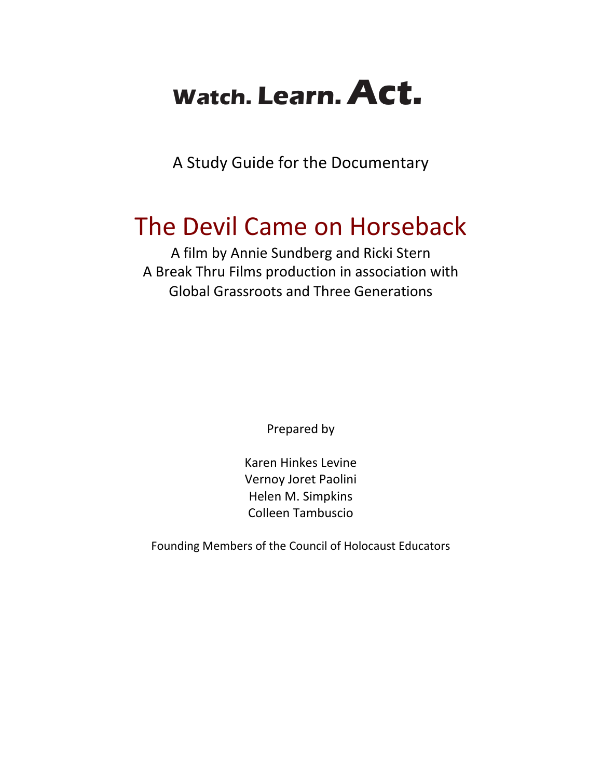# **Watch. Learn. Act.**

A Study Guide for the Documentary

## The Devil Came on Horseback

A film by Annie Sundberg and Ricki Stern A Break Thru Films production in association with Global Grassroots and Three Generations

Prepared by

Karen Hinkes Levine Vernoy Joret Paolini Helen M. Simpkins Colleen Tambuscio

Founding Members of the Council of Holocaust Educators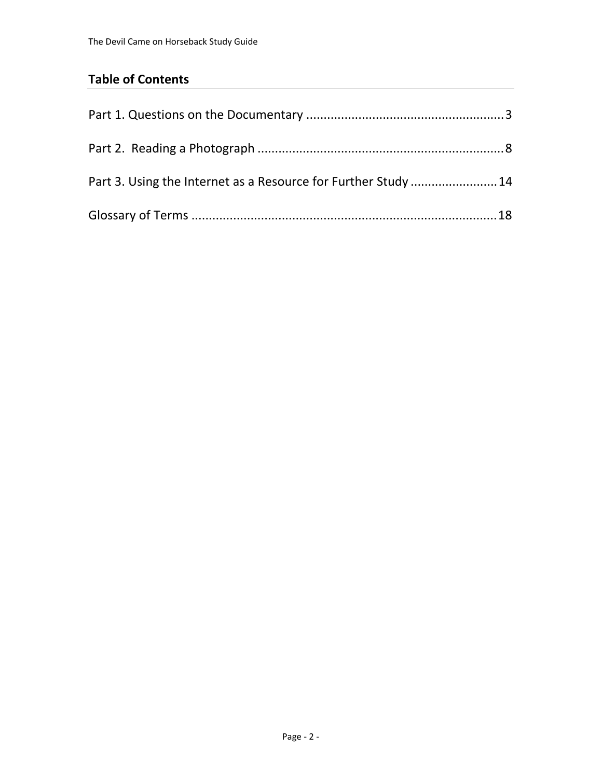### **Table of Contents**

| Part 3. Using the Internet as a Resource for Further Study  14 |  |
|----------------------------------------------------------------|--|
|                                                                |  |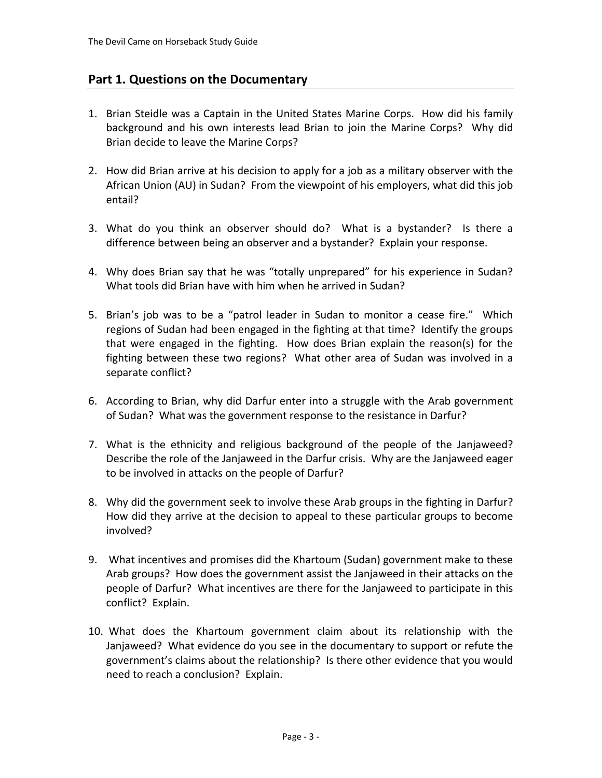#### **Part 1. Questions on the Documentary**

- 1. Brian Steidle was a Captain in the United States Marine Corps. How did his family background and his own interests lead Brian to join the Marine Corps? Why did Brian decide to leave the Marine Corps?
- 2. How did Brian arrive at his decision to apply for a job as a military observer with the African Union (AU) in Sudan? From the viewpoint of his employers, what did this job entail?
- 3. What do you think an observer should do? What is a bystander? Is there a difference between being an observer and a bystander? Explain your response.
- 4. Why does Brian say that he was "totally unprepared" for his experience in Sudan? What tools did Brian have with him when he arrived in Sudan?
- 5. Brian's job was to be a "patrol leader in Sudan to monitor a cease fire." Which regions of Sudan had been engaged in the fighting at that time? Identify the groups that were engaged in the fighting. How does Brian explain the reason(s) for the fighting between these two regions? What other area of Sudan was involved in a separate conflict?
- 6. According to Brian, why did Darfur enter into a struggle with the Arab government of Sudan? What was the government response to the resistance in Darfur?
- 7. What is the ethnicity and religious background of the people of the Janjaweed? Describe the role of the Janjaweed in the Darfur crisis. Why are the Janjaweed eager to be involved in attacks on the people of Darfur?
- 8. Why did the government seek to involve these Arab groups in the fighting in Darfur? How did they arrive at the decision to appeal to these particular groups to become involved?
- 9. What incentives and promises did the Khartoum (Sudan) government make to these Arab groups? How does the government assist the Janjaweed in their attacks on the people of Darfur? What incentives are there for the Janjaweed to participate in this conflict? Explain.
- 10. What does the Khartoum government claim about its relationship with the Janjaweed? What evidence do you see in the documentary to support or refute the government's claims about the relationship? Is there other evidence that you would need to reach a conclusion? Explain.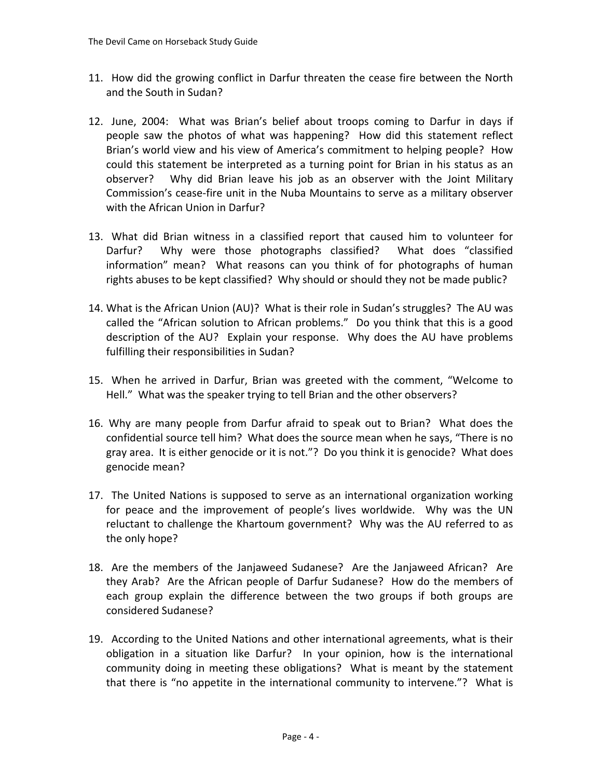- 11. How did the growing conflict in Darfur threaten the cease fire between the North and the South in Sudan?
- 12. June, 2004: What was Brian's belief about troops coming to Darfur in days if people saw the photos of what was happening? How did this statement reflect Brian's world view and his view of America's commitment to helping people? How could this statement be interpreted as a turning point for Brian in his status as an observer? Why did Brian leave his job as an observer with the Joint Military Commission's cease‐fire unit in the Nuba Mountains to serve as a military observer with the African Union in Darfur?
- 13. What did Brian witness in a classified report that caused him to volunteer for Darfur? Why were those photographs classified? What does "classified information" mean? What reasons can you think of for photographs of human rights abuses to be kept classified? Why should or should they not be made public?
- 14. What is the African Union (AU)? What is their role in Sudan's struggles? The AU was called the "African solution to African problems." Do you think that this is a good description of the AU? Explain your response. Why does the AU have problems fulfilling their responsibilities in Sudan?
- 15. When he arrived in Darfur, Brian was greeted with the comment, "Welcome to Hell." What was the speaker trying to tell Brian and the other observers?
- 16. Why are many people from Darfur afraid to speak out to Brian? What does the confidential source tell him? What does the source mean when he says, "There is no gray area. It is either genocide or it is not."? Do you think it is genocide? What does genocide mean?
- 17. The United Nations is supposed to serve as an international organization working for peace and the improvement of people's lives worldwide. Why was the UN reluctant to challenge the Khartoum government? Why was the AU referred to as the only hope?
- 18. Are the members of the Janjaweed Sudanese? Are the Janjaweed African? Are they Arab? Are the African people of Darfur Sudanese? How do the members of each group explain the difference between the two groups if both groups are considered Sudanese?
- 19. According to the United Nations and other international agreements, what is their obligation in a situation like Darfur? In your opinion, how is the international community doing in meeting these obligations? What is meant by the statement that there is "no appetite in the international community to intervene."? What is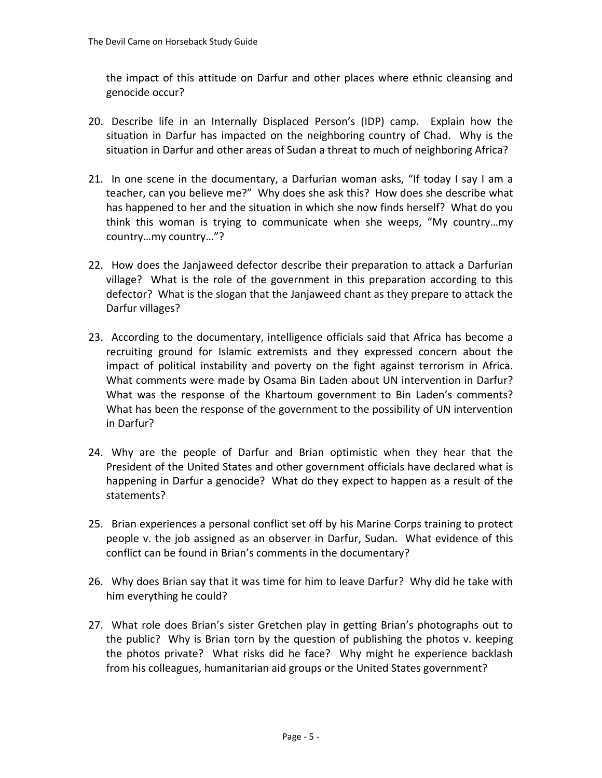the impact of this attitude on Darfur and other places where ethnic cleansing and genocide occur?

- 20. Describe life in an Internally Displaced Person's (IDP) camp. Explain how the situation in Darfur has impacted on the neighboring country of Chad. Why is the situation in Darfur and other areas of Sudan a threat to much of neighboring Africa?
- 21. In one scene in the documentary, a Darfurian woman asks, "If today I say I am a teacher, can you believe me?" Why does she ask this? How does she describe what has happened to her and the situation in which she now finds herself? What do you think this woman is trying to communicate when she weeps, "My country…my country…my country…"?
- 22. How does the Janjaweed defector describe their preparation to attack a Darfurian village? What is the role of the government in this preparation according to this defector? What is the slogan that the Janjaweed chant as they prepare to attack the Darfur villages?
- 23. According to the documentary, intelligence officials said that Africa has become a recruiting ground for Islamic extremists and they expressed concern about the impact of political instability and poverty on the fight against terrorism in Africa. What comments were made by Osama Bin Laden about UN intervention in Darfur? What was the response of the Khartoum government to Bin Laden's comments? What has been the response of the government to the possibility of UN intervention in Darfur?
- 24. Why are the people of Darfur and Brian optimistic when they hear that the President of the United States and other government officials have declared what is happening in Darfur a genocide? What do they expect to happen as a result of the statements?
- 25. Brian experiences a personal conflict set off by his Marine Corps training to protect people v. the job assigned as an observer in Darfur, Sudan. What evidence of this conflict can be found in Brian's comments in the documentary?
- 26. Why does Brian say that it was time for him to leave Darfur? Why did he take with him everything he could?
- 27. What role does Brian's sister Gretchen play in getting Brian's photographs out to the public? Why is Brian torn by the question of publishing the photos v. keeping the photos private? What risks did he face? Why might he experience backlash from his colleagues, humanitarian aid groups or the United States government?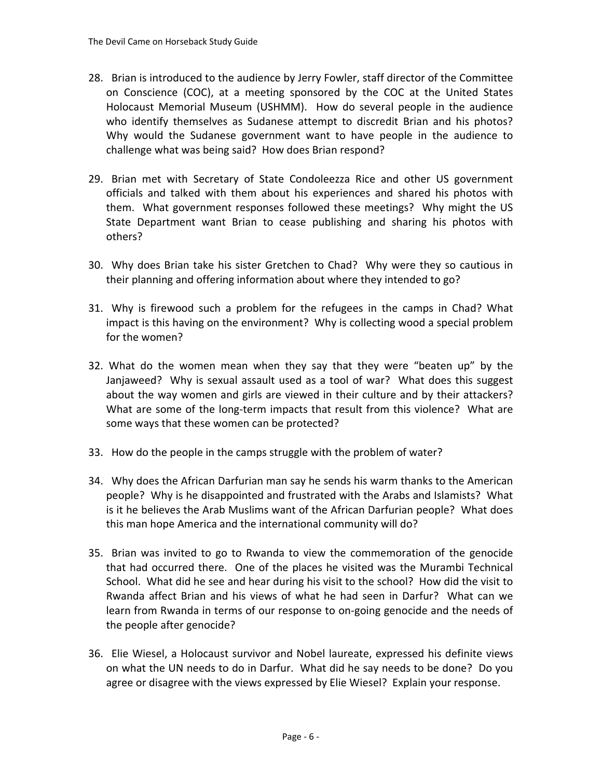- 28. Brian is introduced to the audience by Jerry Fowler, staff director of the Committee on Conscience (COC), at a meeting sponsored by the COC at the United States Holocaust Memorial Museum (USHMM). How do several people in the audience who identify themselves as Sudanese attempt to discredit Brian and his photos? Why would the Sudanese government want to have people in the audience to challenge what was being said? How does Brian respond?
- 29. Brian met with Secretary of State Condoleezza Rice and other US government officials and talked with them about his experiences and shared his photos with them. What government responses followed these meetings? Why might the US State Department want Brian to cease publishing and sharing his photos with others?
- 30. Why does Brian take his sister Gretchen to Chad? Why were they so cautious in their planning and offering information about where they intended to go?
- 31. Why is firewood such a problem for the refugees in the camps in Chad? What impact is this having on the environment? Why is collecting wood a special problem for the women?
- 32. What do the women mean when they say that they were "beaten up" by the Janjaweed? Why is sexual assault used as a tool of war? What does this suggest about the way women and girls are viewed in their culture and by their attackers? What are some of the long-term impacts that result from this violence? What are some ways that these women can be protected?
- 33. How do the people in the camps struggle with the problem of water?
- 34. Why does the African Darfurian man say he sends his warm thanks to the American people? Why is he disappointed and frustrated with the Arabs and Islamists? What is it he believes the Arab Muslims want of the African Darfurian people? What does this man hope America and the international community will do?
- 35. Brian was invited to go to Rwanda to view the commemoration of the genocide that had occurred there. One of the places he visited was the Murambi Technical School. What did he see and hear during his visit to the school? How did the visit to Rwanda affect Brian and his views of what he had seen in Darfur? What can we learn from Rwanda in terms of our response to on‐going genocide and the needs of the people after genocide?
- 36. Elie Wiesel, a Holocaust survivor and Nobel laureate, expressed his definite views on what the UN needs to do in Darfur. What did he say needs to be done? Do you agree or disagree with the views expressed by Elie Wiesel? Explain your response.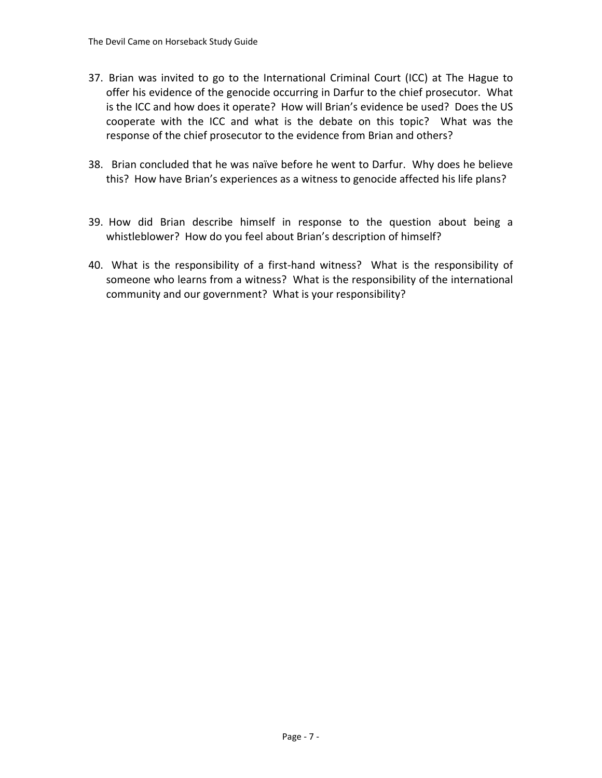- 37. Brian was invited to go to the International Criminal Court (ICC) at The Hague to offer his evidence of the genocide occurring in Darfur to the chief prosecutor. What is the ICC and how does it operate? How will Brian's evidence be used? Does the US cooperate with the ICC and what is the debate on this topic? What was the response of the chief prosecutor to the evidence from Brian and others?
- 38. Brian concluded that he was naïve before he went to Darfur. Why does he believe this? How have Brian's experiences as a witness to genocide affected his life plans?
- 39. How did Brian describe himself in response to the question about being a whistleblower? How do you feel about Brian's description of himself?
- 40. What is the responsibility of a first-hand witness? What is the responsibility of someone who learns from a witness? What is the responsibility of the international community and our government? What is your responsibility?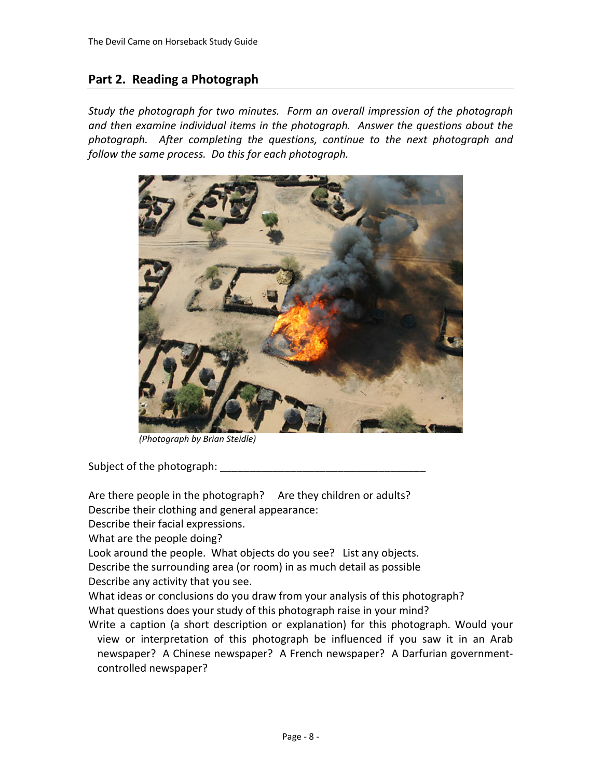#### **Part 2. Reading a Photograph**

*Study the photograph for two minutes. Form an overall impression of the photograph and then examine individual items in the photograph. Answer the questions about the photograph. After completing the questions, continue to the next photograph and follow the same process. Do this for each photograph.*



*(Photograph by Brian Steidle)*

Subject of the photograph:

Are there people in the photograph? Are they children or adults?

Describe their clothing and general appearance:

Describe their facial expressions.

What are the people doing?

Look around the people. What objects do you see? List any objects.

Describe the surrounding area (or room) in as much detail as possible

Describe any activity that you see.

What ideas or conclusions do you draw from your analysis of this photograph? What questions does your study of this photograph raise in your mind?

Write a caption (a short description or explanation) for this photograph. Would your view or interpretation of this photograph be influenced if you saw it in an Arab newspaper? A Chinese newspaper? A French newspaper? A Darfurian government‐ controlled newspaper?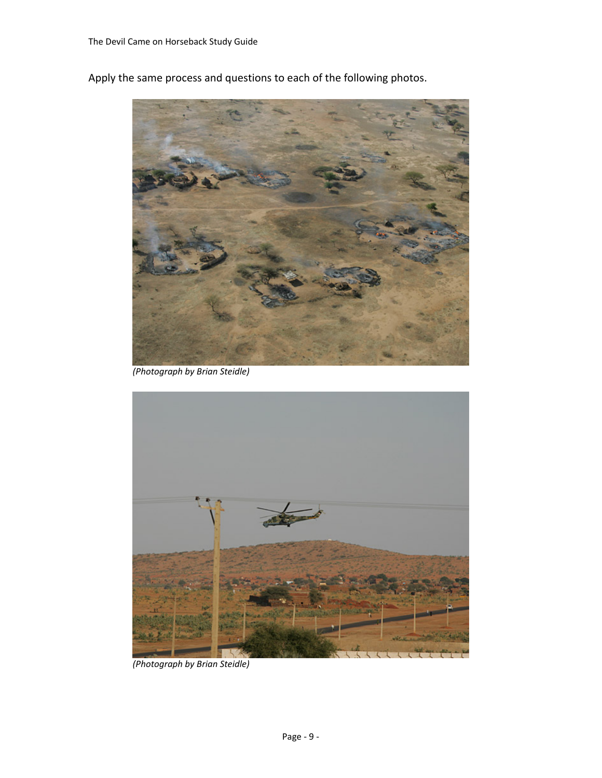



*(Photograph by Brian Steidle)*



*(Photograph by Brian Steidle)*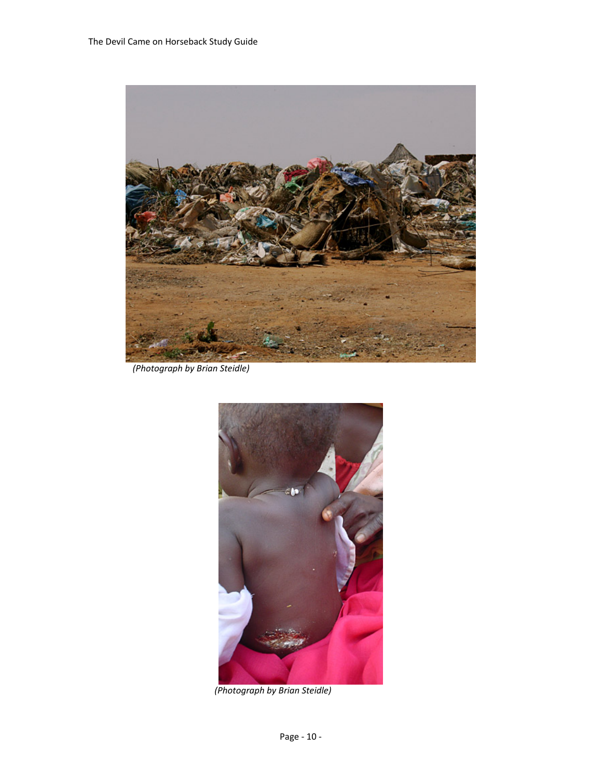

*(Photograph by Brian Steidle)*



*(Photograph by Brian Steidle)*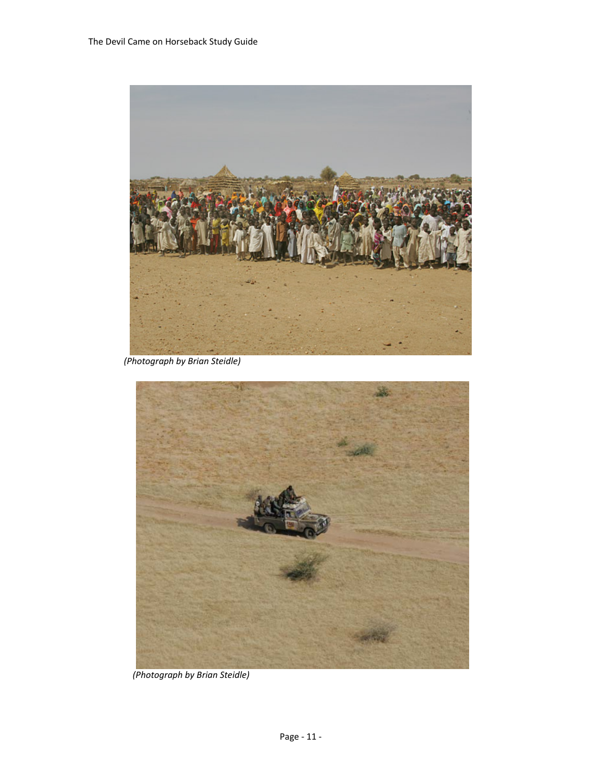

*(Photograph by Brian Steidle)*



*(Photograph by Brian Steidle)*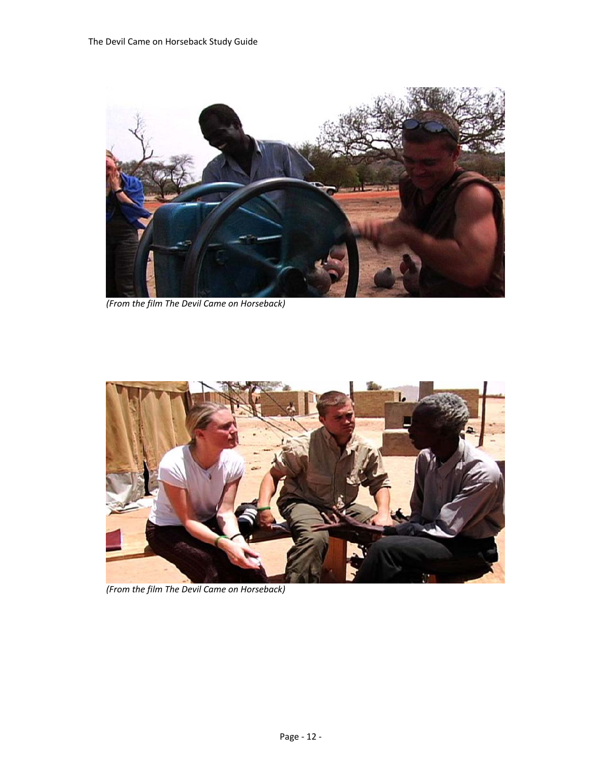

*(From the film The Devil Came on Horseback)*



*(From the film The Devil Came on Horseback)*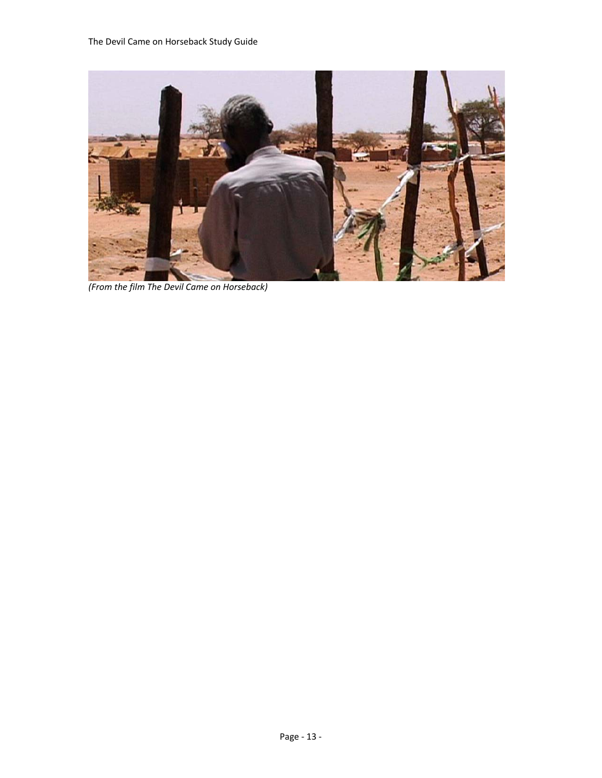

*(From the film The Devil Came on Horseback)*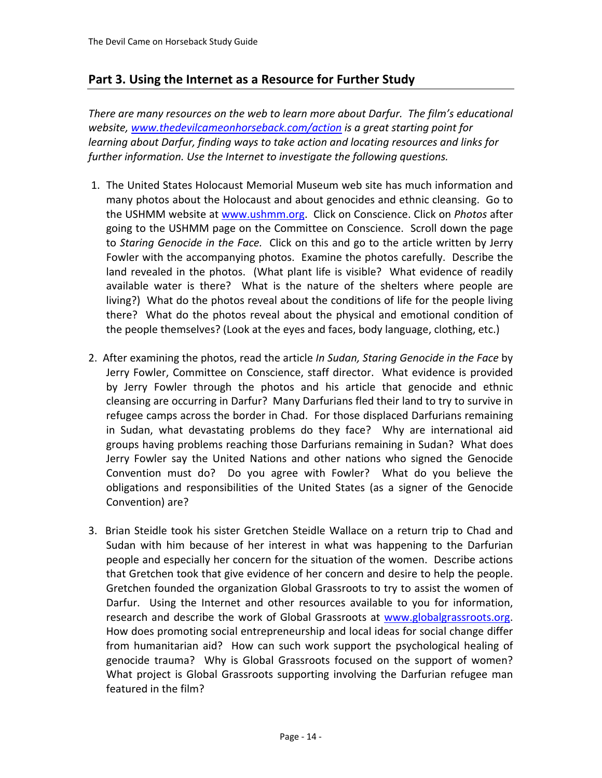#### **Part 3. Using the Internet as a Resource for Further Study**

*There are many resources on the web to learn more about Darfur. The film's educational website, www.thedevilcameonhorseback.com/action is a great starting point for learning about Darfur, finding ways to take action and locating resources and links for further information. Use the Internet to investigate the following questions.* 

- 1. The United States Holocaust Memorial Museum web site has much information and many photos about the Holocaust and about genocides and ethnic cleansing. Go to the USHMM website at www.ushmm.org. Click on Conscience. Click on *Photos* after going to the USHMM page on the Committee on Conscience. Scroll down the page to *Staring Genocide in the Face.* Click on this and go to the article written by Jerry Fowler with the accompanying photos. Examine the photos carefully. Describe the land revealed in the photos. (What plant life is visible? What evidence of readily available water is there? What is the nature of the shelters where people are living?) What do the photos reveal about the conditions of life for the people living there? What do the photos reveal about the physical and emotional condition of the people themselves? (Look at the eyes and faces, body language, clothing, etc.)
- 2. After examining the photos, read the article *In Sudan, Staring Genocide in the Face* by Jerry Fowler, Committee on Conscience, staff director. What evidence is provided by Jerry Fowler through the photos and his article that genocide and ethnic cleansing are occurring in Darfur? Many Darfurians fled their land to try to survive in refugee camps across the border in Chad. For those displaced Darfurians remaining in Sudan, what devastating problems do they face? Why are international aid groups having problems reaching those Darfurians remaining in Sudan? What does Jerry Fowler say the United Nations and other nations who signed the Genocide Convention must do? Do you agree with Fowler? What do you believe the obligations and responsibilities of the United States (as a signer of the Genocide Convention) are?
- 3. Brian Steidle took his sister Gretchen Steidle Wallace on a return trip to Chad and Sudan with him because of her interest in what was happening to the Darfurian people and especially her concern for the situation of the women. Describe actions that Gretchen took that give evidence of her concern and desire to help the people. Gretchen founded the organization Global Grassroots to try to assist the women of Darfur. Using the Internet and other resources available to you for information, research and describe the work of Global Grassroots at www.globalgrassroots.org. How does promoting social entrepreneurship and local ideas for social change differ from humanitarian aid? How can such work support the psychological healing of genocide trauma? Why is Global Grassroots focused on the support of women? What project is Global Grassroots supporting involving the Darfurian refugee man featured in the film?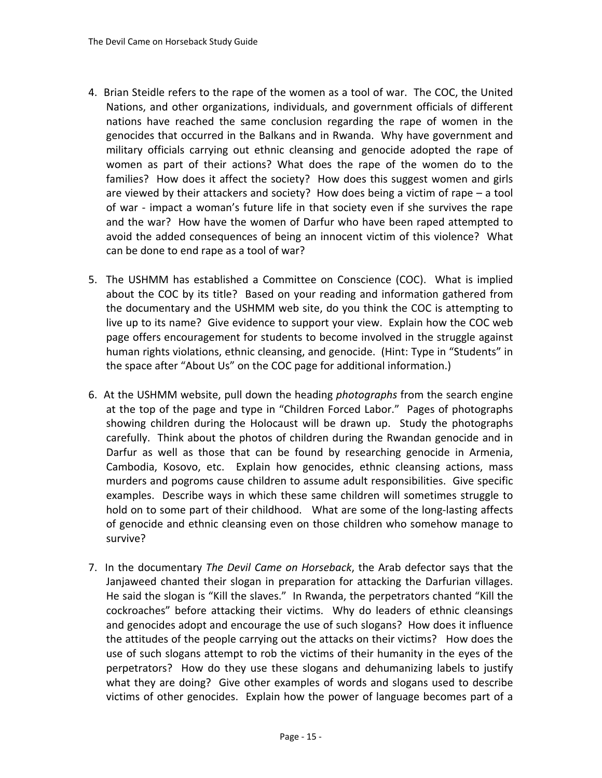- 4. Brian Steidle refers to the rape of the women as a tool of war. The COC, the United Nations, and other organizations, individuals, and government officials of different nations have reached the same conclusion regarding the rape of women in the genocides that occurred in the Balkans and in Rwanda. Why have government and military officials carrying out ethnic cleansing and genocide adopted the rape of women as part of their actions? What does the rape of the women do to the families? How does it affect the society? How does this suggest women and girls are viewed by their attackers and society? How does being a victim of rape – a tool of war - impact a woman's future life in that society even if she survives the rape and the war? How have the women of Darfur who have been raped attempted to avoid the added consequences of being an innocent victim of this violence? What can be done to end rape as a tool of war?
- 5. The USHMM has established a Committee on Conscience (COC). What is implied about the COC by its title? Based on your reading and information gathered from the documentary and the USHMM web site, do you think the COC is attempting to live up to its name? Give evidence to support your view. Explain how the COC web page offers encouragement for students to become involved in the struggle against human rights violations, ethnic cleansing, and genocide. (Hint: Type in "Students" in the space after "About Us" on the COC page for additional information.)
- 6. At the USHMM website, pull down the heading *photographs* from the search engine at the top of the page and type in "Children Forced Labor." Pages of photographs showing children during the Holocaust will be drawn up. Study the photographs carefully. Think about the photos of children during the Rwandan genocide and in Darfur as well as those that can be found by researching genocide in Armenia, Cambodia, Kosovo, etc. Explain how genocides, ethnic cleansing actions, mass murders and pogroms cause children to assume adult responsibilities. Give specific examples. Describe ways in which these same children will sometimes struggle to hold on to some part of their childhood. What are some of the long‐lasting affects of genocide and ethnic cleansing even on those children who somehow manage to survive?
- 7. In the documentary *The Devil Came on Horseback*, the Arab defector says that the Janjaweed chanted their slogan in preparation for attacking the Darfurian villages. He said the slogan is "Kill the slaves." In Rwanda, the perpetrators chanted "Kill the cockroaches" before attacking their victims. Why do leaders of ethnic cleansings and genocides adopt and encourage the use of such slogans? How does it influence the attitudes of the people carrying out the attacks on their victims? How does the use of such slogans attempt to rob the victims of their humanity in the eyes of the perpetrators? How do they use these slogans and dehumanizing labels to justify what they are doing? Give other examples of words and slogans used to describe victims of other genocides. Explain how the power of language becomes part of a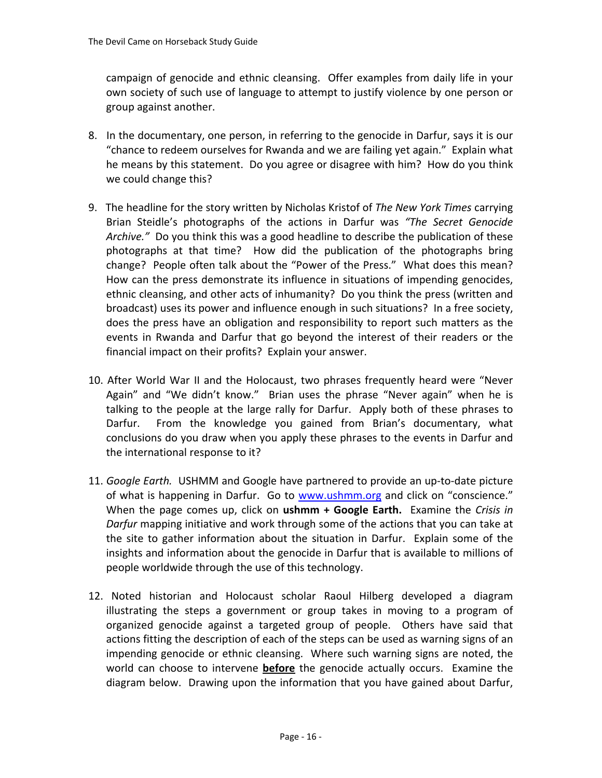campaign of genocide and ethnic cleansing. Offer examples from daily life in your own society of such use of language to attempt to justify violence by one person or group against another.

- 8. In the documentary, one person, in referring to the genocide in Darfur, says it is our "chance to redeem ourselves for Rwanda and we are failing yet again." Explain what he means by this statement. Do you agree or disagree with him? How do you think we could change this?
- 9. The headline for the story written by Nicholas Kristof of *The New York Times* carrying Brian Steidle's photographs of the actions in Darfur was *"The Secret Genocide* Archive." Do you think this was a good headline to describe the publication of these photographs at that time? How did the publication of the photographs bring change? People often talk about the "Power of the Press." What does this mean? How can the press demonstrate its influence in situations of impending genocides, ethnic cleansing, and other acts of inhumanity? Do you think the press (written and broadcast) uses its power and influence enough in such situations? In a free society, does the press have an obligation and responsibility to report such matters as the events in Rwanda and Darfur that go beyond the interest of their readers or the financial impact on their profits? Explain your answer.
- 10. After World War II and the Holocaust, two phrases frequently heard were "Never Again" and "We didn't know." Brian uses the phrase "Never again" when he is talking to the people at the large rally for Darfur. Apply both of these phrases to Darfur. From the knowledge you gained from Brian's documentary, what conclusions do you draw when you apply these phrases to the events in Darfur and the international response to it?
- 11. *Google Earth.* USHMM and Google have partnered to provide an up‐to‐date picture of what is happening in Darfur. Go to www.ushmm.org and click on "conscience." When the page comes up, click on **ushmm + Google Earth.** Examine the *Crisis in Darfur* mapping initiative and work through some of the actions that you can take at the site to gather information about the situation in Darfur. Explain some of the insights and information about the genocide in Darfur that is available to millions of people worldwide through the use of this technology.
- 12. Noted historian and Holocaust scholar Raoul Hilberg developed a diagram illustrating the steps a government or group takes in moving to a program of organized genocide against a targeted group of people. Others have said that actions fitting the description of each of the steps can be used as warning signs of an impending genocide or ethnic cleansing. Where such warning signs are noted, the world can choose to intervene **before** the genocide actually occurs. Examine the diagram below. Drawing upon the information that you have gained about Darfur,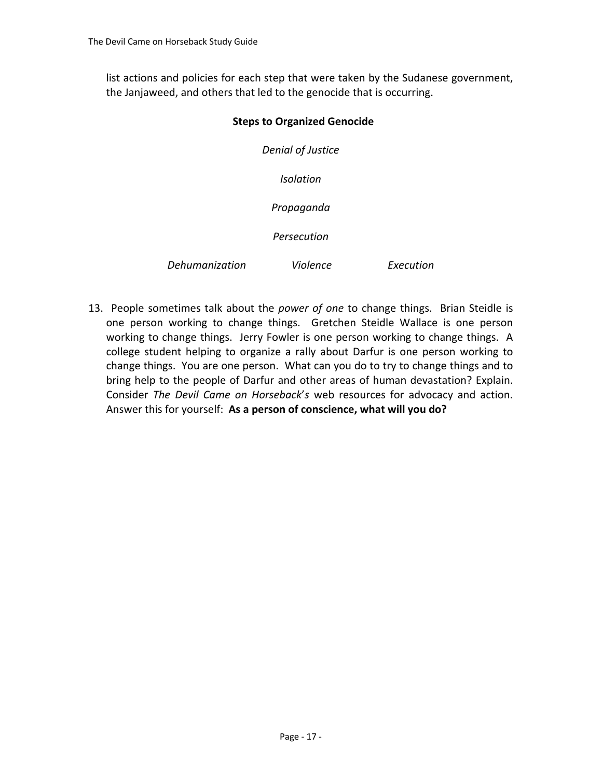list actions and policies for each step that were taken by the Sudanese government, the Janjaweed, and others that led to the genocide that is occurring.

#### **Steps to Organized Genocide**

*Denial of Justice Isolation Propaganda Persecution*

*Dehumanization Violence Execution*

13. People sometimes talk about the *power of one* to change things. Brian Steidle is one person working to change things. Gretchen Steidle Wallace is one person working to change things. Jerry Fowler is one person working to change things. A college student helping to organize a rally about Darfur is one person working to change things. You are one person. What can you do to try to change things and to bring help to the people of Darfur and other areas of human devastation? Explain. Consider *The Devil Came on Horseback*'*s* web resources for advocacy and action. Answer this for yourself: **As a person of conscience, what will you do?**